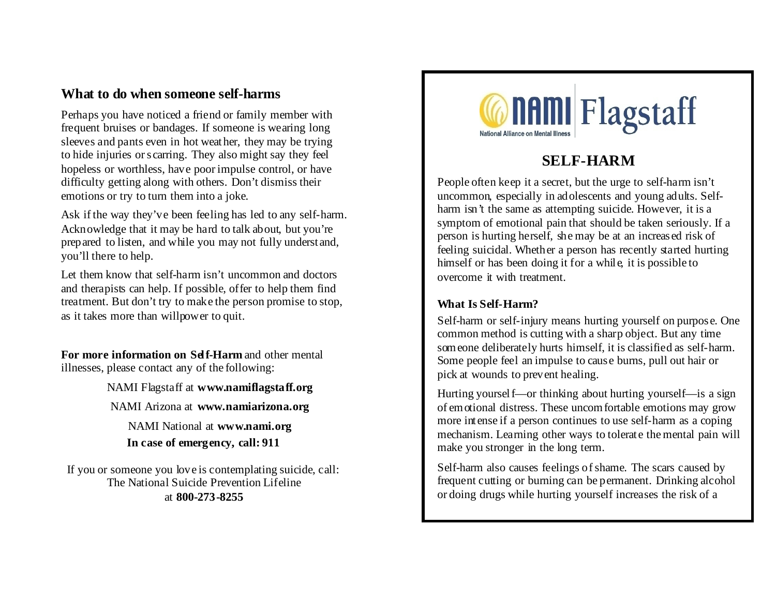## **What to do when someone self-harms**

Perhaps you have noticed a friend or family member with frequent bruises or bandages. If someone is wearing long sleeves and pants even in hot weather, they may be trying to hide injuries or scarring. They also might say they feel hopeless or worthless, have poor impulse control, or have difficulty getting along with others. Don't dismiss their emotions or try to turn them into a joke.

Ask if the way they've been feeling has led to any self-harm. Acknowledge that it may be hard to talk about, but you're prepared to listen, and while you may not fully understand, you'll there to help.

Let them know that self-harm isn't uncommon and doctors and therapists can help. If possible, offer to help them find treatment. But don't try to make the person promise to stop, as it takes more than willpower to quit.

**For more information on Self-Harm** and other mental illnesses, please contact any of the following:

> NAMI Flagstaff at **www.namiflagstaff.org** NAMI Arizona at **www.namiarizona.org**

NAMI National at **www.nami.org In case of emergency, call: 911**

If you or someone you love is contemplating suicide, call: The National Suicide Prevention Lifeline at **800-273-8255**



# **SELF-HARM**

People often keep it a secret, but the urge to self-harm isn't uncommon, especially in adolescents and young adults. Selfharm isn't the same as attempting suicide. However, it is a symptom of emotional pain that should be taken seriously. If a person is hurting herself, she may be at an increased risk of feeling suicidal. Whether a person has recently started hurting himself or has been doing it for a while, it is possible to overcome it with treatment.

### **What Is Self-Harm?**

Self-harm or self-injury means hurting yourself on purpose. One common method is cutting with a sharp object. But any time someone deliberately hurts himself, it is classified as self-harm. Some people feel an impulse to cause burns, pull out hair or pick at wounds to prevent healing.

Hurting yourself—or thinking about hurting yourself—is a sign of emotional distress. These uncomfortable emotions may grow more intense if a person continues to use self-harm as a coping mechanism. Learning other ways to tolerate the mental pain will make you stronger in the long term.

Self-harm also causes feelings of shame. The scars caused by frequent cutting or burning can be permanent. Drinking alcohol or doing drugs while hurting yourself increases the risk of a